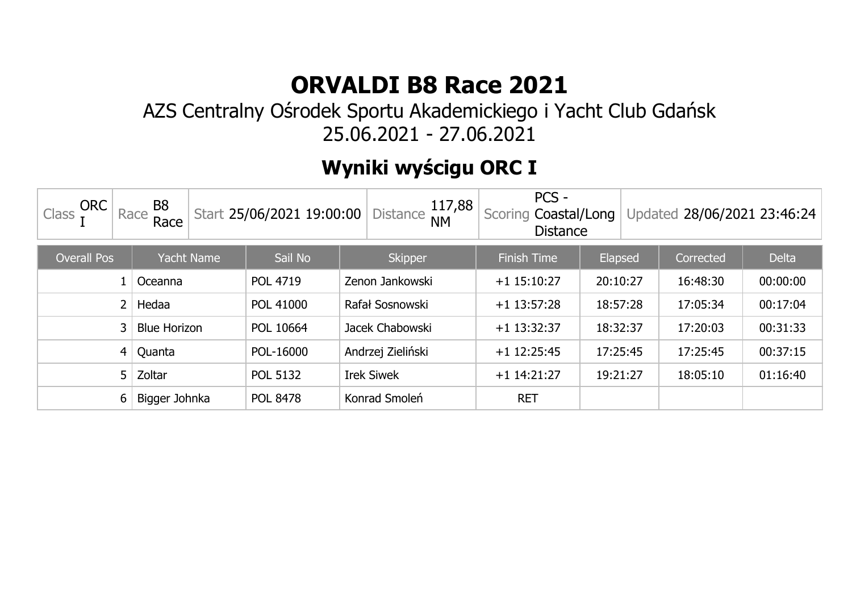#### AZS Centralny Ośrodek Sportu Akademickiego i Yacht Club Gdańsk 25.06.2021 - 27.06.2021

## **Wyniki wyścigu ORC I**

| <b>ORC</b><br>Class | B <sub>8</sub><br>Race<br>Race | Start 25/06/2021 19:00:00 | 117,88<br><b>Distance</b><br><b>NM</b> | PCS -<br>Coastal/Long<br>Scoring<br><b>Distance</b> |          | Updated 28/06/2021 23:46:24 |              |
|---------------------|--------------------------------|---------------------------|----------------------------------------|-----------------------------------------------------|----------|-----------------------------|--------------|
| <b>Overall Pos</b>  | <b>Yacht Name</b>              | Sail No                   | <b>Skipper</b>                         | <b>Finish Time</b>                                  | Elapsed  | Corrected                   | <b>Delta</b> |
|                     | Oceanna                        | <b>POL 4719</b>           | Zenon Jankowski                        | $+1$ 15:10:27                                       | 20:10:27 | 16:48:30                    | 00:00:00     |
| 2                   | Hedaa                          | POL 41000                 | Rafał Sosnowski                        | $+1$ 13:57:28                                       | 18:57:28 | 17:05:34                    | 00:17:04     |
| 3                   | <b>Blue Horizon</b>            | POL 10664                 | Jacek Chabowski                        | $+1$ 13:32:37                                       | 18:32:37 | 17:20:03                    | 00:31:33     |
| 4 <sub>1</sub>      | Quanta                         | POL-16000                 | Andrzej Zieliński                      | $+1$ 12:25:45                                       | 17:25:45 | 17:25:45                    | 00:37:15     |
| 5                   | Zoltar                         | <b>POL 5132</b>           | <b>Irek Siwek</b>                      | $+1$ 14:21:27                                       | 19:21:27 | 18:05:10                    | 01:16:40     |
| 6                   | Bigger Johnka                  | <b>POL 8478</b>           | Konrad Smoleń                          | <b>RET</b>                                          |          |                             |              |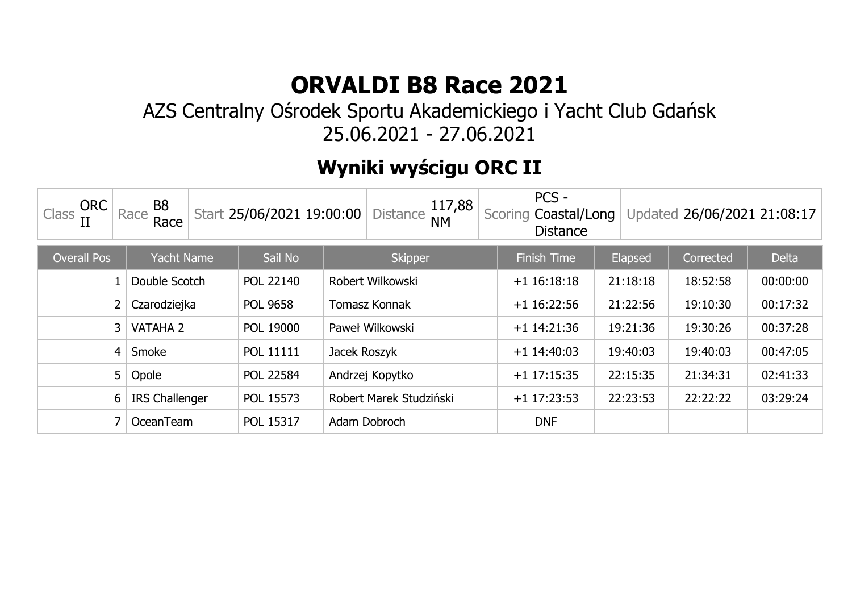#### AZS Centralny Ośrodek Sportu Akademickiego i Yacht Club Gdańsk 25.06.2021 - 27.06.2021

## **Wyniki wyścigu ORC II**

| <b>ORC</b><br>Class | B8<br>Race<br>Race    | Start 25/06/2021 19:00:00 | 117,88<br><b>Distance</b><br><b>NM</b> | PCS -<br>Scoring Coastal/Long<br><b>Distance</b> |          | Updated 26/06/2021 21:08:17 |              |
|---------------------|-----------------------|---------------------------|----------------------------------------|--------------------------------------------------|----------|-----------------------------|--------------|
| <b>Overall Pos</b>  | <b>Yacht Name</b>     | Sail No                   | <b>Skipper</b>                         | <b>Finish Time</b>                               | Elapsed  | Corrected                   | <b>Delta</b> |
|                     | Double Scotch         | POL 22140                 | Robert Wilkowski                       | $+1$ 16:18:18                                    | 21:18:18 | 18:52:58                    | 00:00:00     |
|                     | Czarodziejka          | <b>POL 9658</b>           | Tomasz Konnak                          | $+1$ 16:22:56                                    | 21:22:56 | 19:10:30                    | 00:17:32     |
| 3                   | <b>VATAHA 2</b>       | POL 19000                 | Paweł Wilkowski                        | $+1$ 14:21:36                                    | 19:21:36 | 19:30:26                    | 00:37:28     |
| 4                   | Smoke                 | <b>POL 11111</b>          | Jacek Roszyk                           | $+1$ 14:40:03                                    | 19:40:03 | 19:40:03                    | 00:47:05     |
| 5 <sup>1</sup>      | Opole                 | <b>POL 22584</b>          | Andrzej Kopytko                        | $+1$ 17:15:35                                    | 22:15:35 | 21:34:31                    | 02:41:33     |
| 6                   | <b>IRS Challenger</b> | POL 15573                 | Robert Marek Studziński                | $+1$ 17:23:53                                    | 22:23:53 | 22:22:22                    | 03:29:24     |
|                     | OceanTeam             | POL 15317                 | Adam Dobroch                           | <b>DNF</b>                                       |          |                             |              |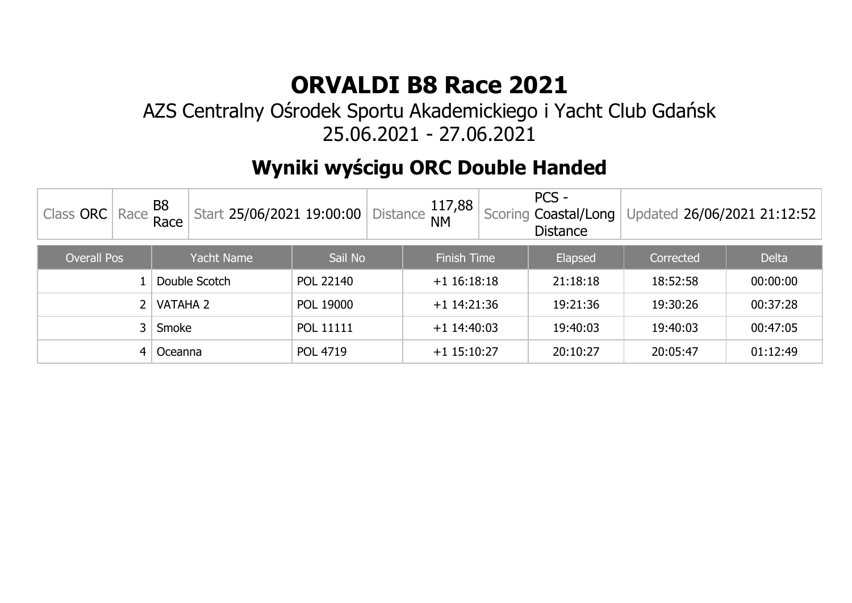#### AZS Centralny Ośrodek Sportu Akademickiego i Yacht Club Gdańsk 25.06.2021 - 27.06.2021

## **Wyniki wyścigu ORC Double Handed**

| Class ORC $\vert$ Race $\frac{B8}{Race}$ $\vert$ / |  | Start 25/06/2021 19:00:00 |           |  | J   Distance $\frac{117,88}{\text{NM}}$ | PCS -<br>Scoring Coastal/Long<br><b>Distance</b> | Updated 26/06/2021 21:12:52 |              |
|----------------------------------------------------|--|---------------------------|-----------|--|-----------------------------------------|--------------------------------------------------|-----------------------------|--------------|
| <b>Overall Pos</b>                                 |  | Yacht Name                | Sail No   |  | <b>Finish Time</b>                      | Elapsed                                          | Corrected                   | <b>Delta</b> |
|                                                    |  | Double Scotch             | POL 22140 |  | $+1$ 16:18:18                           | 21:18:18                                         | 18:52:58                    | 00:00:00     |
| VATAHA 2                                           |  |                           | POL 19000 |  | $+1$ 14:21:36                           | 19:21:36                                         | 19:30:26                    | 00:37:28     |
| 3 <sup>1</sup><br>Smoke                            |  | <b>POL 11111</b>          |           |  | $+1$ 14:40:03                           | 19:40:03                                         | 19:40:03                    | 00:47:05     |
| Oceanna<br>4                                       |  |                           | POL 4719  |  | $+1$ 15:10:27                           | 20:10:27                                         | 20:05:47                    | 01:12:49     |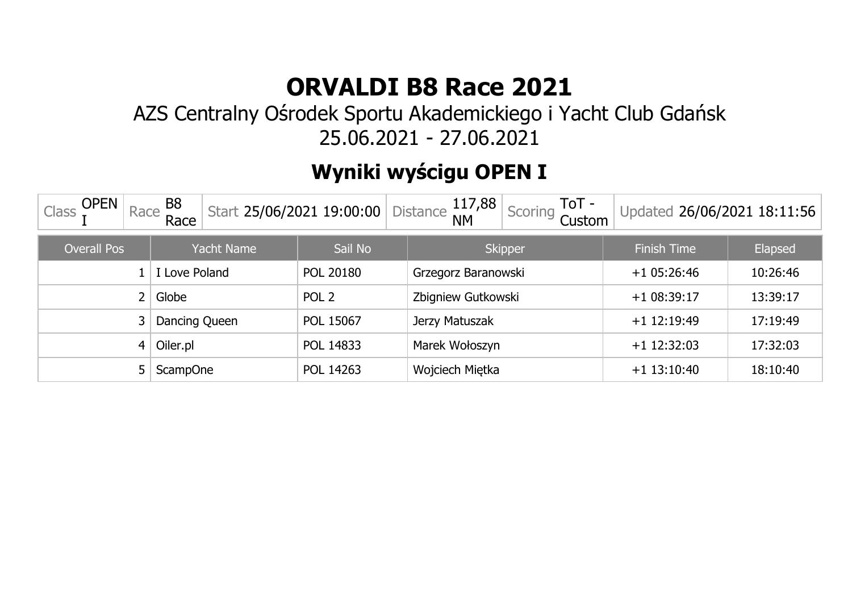#### AZS Centralny Ośrodek Sportu Akademickiego i Yacht Club Gdańsk 25.06.2021 - 27.06.2021

## **Wyniki wyścigu OPEN I**

| <b>OPEN</b><br>B <sub>8</sub><br>117,88<br>ToT -<br>Race<br>Scoring<br>Start 25/06/2021 19:00:00<br><b>Distance</b><br>Updated 26/06/2021 18:11:56<br>Class<br><b>NM</b><br>Race<br>Custom |                   |                  |                     |                    |          |  |  |  |
|--------------------------------------------------------------------------------------------------------------------------------------------------------------------------------------------|-------------------|------------------|---------------------|--------------------|----------|--|--|--|
| <b>Overall Pos</b>                                                                                                                                                                         | <b>Yacht Name</b> | Sail No          | <b>Skipper</b>      | <b>Finish Time</b> | Elapsed  |  |  |  |
|                                                                                                                                                                                            | Love Poland       | POL 20180        | Grzegorz Baranowski | $+1$ 05:26:46      | 10:26:46 |  |  |  |
| $\overline{2}$                                                                                                                                                                             | Globe             | POL <sub>2</sub> | Zbigniew Gutkowski  | $+108:39:17$       | 13:39:17 |  |  |  |
| 3 <sup>1</sup>                                                                                                                                                                             | Dancing Queen     | POL 15067        | Jerzy Matuszak      | $+1$ 12:19:49      | 17:19:49 |  |  |  |
| 4                                                                                                                                                                                          | Oiler.pl          | POL 14833        | Marek Wołoszyn      | $+1$ 12:32:03      | 17:32:03 |  |  |  |
|                                                                                                                                                                                            | <b>ScampOne</b>   | POL 14263        | Wojciech Miętka     | $+1$ 13:10:40      | 18:10:40 |  |  |  |